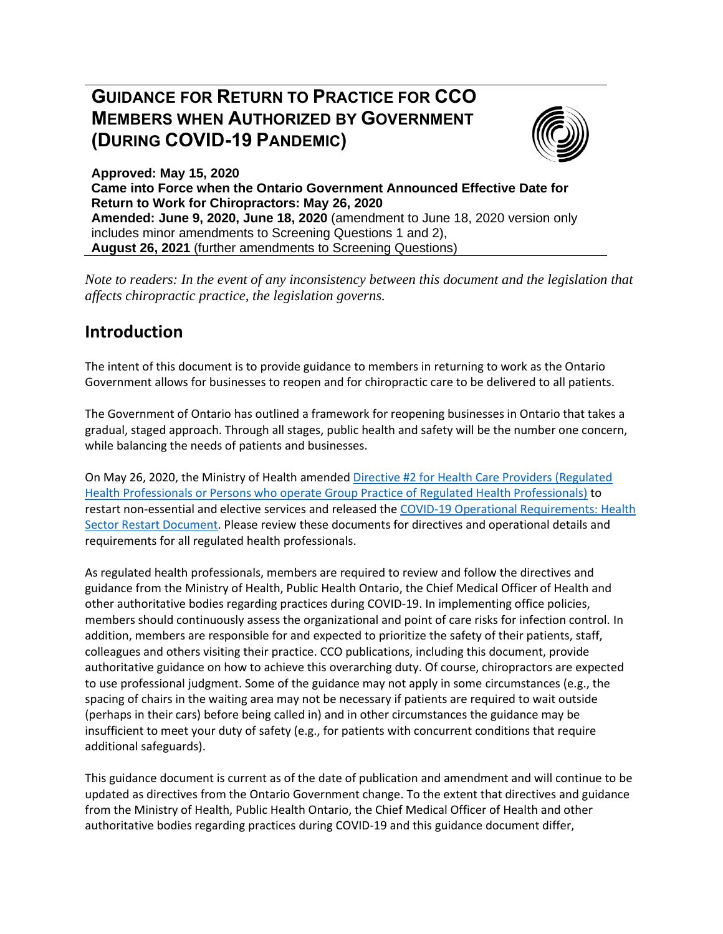# **GUIDANCE FOR RETURN TO PRACTICE FOR CCO MEMBERS WHEN AUTHORIZED BY GOVERNMENT (DURING COVID-19 PANDEMIC)**



**Approved: May 15, 2020 Came into Force when the Ontario Government Announced Effective Date for Return to Work for Chiropractors: May 26, 2020 Amended: June 9, 2020, June 18, 2020** (amendment to June 18, 2020 version only includes minor amendments to Screening Questions 1 and 2), **August 26, 2021** (further amendments to Screening Questions)

*Note to readers: In the event of any inconsistency between this document and the legislation that affects chiropractic practice, the legislation governs.*

# **Introduction**

The intent of this document is to provide guidance to members in returning to work as the Ontario Government allows for businesses to reopen and for chiropractic care to be delivered to all patients.

The Government of Ontario has outlined a framework for reopening businesses in Ontario that takes a gradual, staged approach. Through all stages, public health and safety will be the number one concern, while balancing the needs of patients and businesses.

On May 26, 2020, the Ministry of Health amended [Directive #2 for Health Care Providers \(Regulated](http://www.health.gov.on.ca/en/pro/programs/publichealth/coronavirus/docs/directives/RHPA_professionals.pdf)  Health Professionals [or Persons who operate Group Practice of Regulated Health Professionals\)](http://www.health.gov.on.ca/en/pro/programs/publichealth/coronavirus/docs/directives/RHPA_professionals.pdf) to restart non-essential and elective services and released the [COVID-19 Operational Requirements: Health](http://www.health.gov.on.ca/en/pro/programs/publichealth/coronavirus/docs/operational_requirements_health_sector.pdf)  [Sector Restart Document.](http://www.health.gov.on.ca/en/pro/programs/publichealth/coronavirus/docs/operational_requirements_health_sector.pdf) Please review these documents for directives and operational details and requirements for all regulated health professionals.

As regulated health professionals, members are required to review and follow the directives and guidance from the Ministry of Health, Public Health Ontario, the Chief Medical Officer of Health and other authoritative bodies regarding practices during COVID-19. In implementing office policies, members should continuously assess the organizational and point of care risks for infection control. In addition, members are responsible for and expected to prioritize the safety of their patients, staff, colleagues and others visiting their practice. CCO publications, including this document, provide authoritative guidance on how to achieve this overarching duty. Of course, chiropractors are expected to use professional judgment. Some of the guidance may not apply in some circumstances (e.g., the spacing of chairs in the waiting area may not be necessary if patients are required to wait outside (perhaps in their cars) before being called in) and in other circumstances the guidance may be insufficient to meet your duty of safety (e.g., for patients with concurrent conditions that require additional safeguards).

This guidance document is current as of the date of publication and amendment and will continue to be updated as directives from the Ontario Government change. To the extent that directives and guidance from the Ministry of Health, Public Health Ontario, the Chief Medical Officer of Health and other authoritative bodies regarding practices during COVID-19 and this guidance document differ,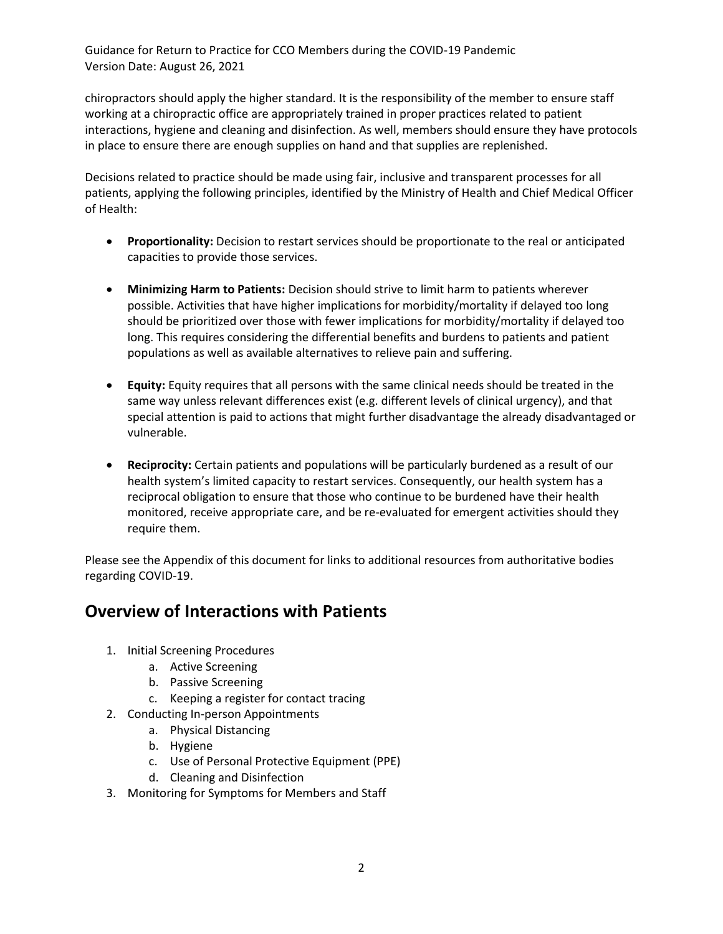chiropractors should apply the higher standard. It is the responsibility of the member to ensure staff working at a chiropractic office are appropriately trained in proper practices related to patient interactions, hygiene and cleaning and disinfection. As well, members should ensure they have protocols in place to ensure there are enough supplies on hand and that supplies are replenished.

Decisions related to practice should be made using fair, inclusive and transparent processes for all patients, applying the following principles, identified by the Ministry of Health and Chief Medical Officer of Health:

- **Proportionality:** Decision to restart services should be proportionate to the real or anticipated capacities to provide those services.
- **Minimizing Harm to Patients:** Decision should strive to limit harm to patients wherever possible. Activities that have higher implications for morbidity/mortality if delayed too long should be prioritized over those with fewer implications for morbidity/mortality if delayed too long. This requires considering the differential benefits and burdens to patients and patient populations as well as available alternatives to relieve pain and suffering.
- **Equity:** Equity requires that all persons with the same clinical needs should be treated in the same way unless relevant differences exist (e.g. different levels of clinical urgency), and that special attention is paid to actions that might further disadvantage the already disadvantaged or vulnerable.
- **Reciprocity:** Certain patients and populations will be particularly burdened as a result of our health system's limited capacity to restart services. Consequently, our health system has a reciprocal obligation to ensure that those who continue to be burdened have their health monitored, receive appropriate care, and be re-evaluated for emergent activities should they require them.

Please see the Appendix of this document for links to additional resources from authoritative bodies regarding COVID-19.

# **Overview of Interactions with Patients**

- 1. Initial Screening Procedures
	- a. Active Screening
	- b. Passive Screening
	- c. Keeping a register for contact tracing
- 2. Conducting In-person Appointments
	- a. Physical Distancing
	- b. Hygiene
	- c. Use of Personal Protective Equipment (PPE)
	- d. Cleaning and Disinfection
- 3. Monitoring for Symptoms for Members and Staff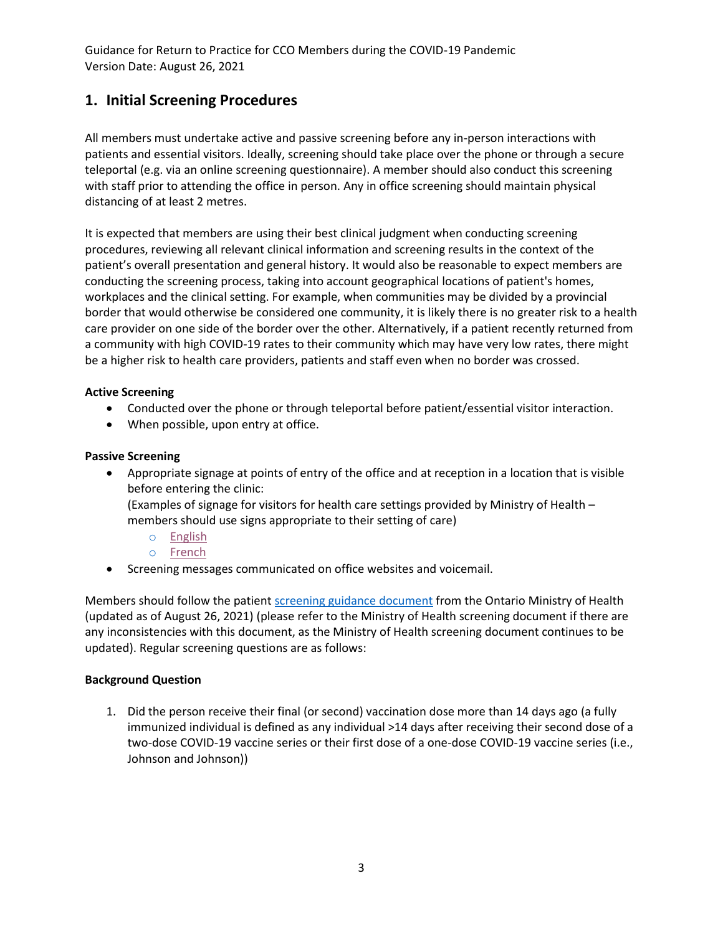# **1. Initial Screening Procedures**

All members must undertake active and passive screening before any in-person interactions with patients and essential visitors. Ideally, screening should take place over the phone or through a secure teleportal (e.g. via an online screening questionnaire). A member should also conduct this screening with staff prior to attending the office in person. Any in office screening should maintain physical distancing of at least 2 metres.

It is expected that members are using their best clinical judgment when conducting screening procedures, reviewing all relevant clinical information and screening results in the context of the patient's overall presentation and general history. It would also be reasonable to expect members are conducting the screening process, taking into account geographical locations of patient's homes, workplaces and the clinical setting. For example, when communities may be divided by a provincial border that would otherwise be considered one community, it is likely there is no greater risk to a health care provider on one side of the border over the other. Alternatively, if a patient recently returned from a community with high COVID-19 rates to their community which may have very low rates, there might be a higher risk to health care providers, patients and staff even when no border was crossed.

#### **Active Screening**

- Conducted over the phone or through teleportal before patient/essential visitor interaction.
- When possible, upon entry at office.

#### **Passive Screening**

• Appropriate signage at points of entry of the office and at reception in a location that is visible before entering the clinic:

(Examples of signage for visitors for health care settings provided by Ministry of Health – members should use signs appropriate to their setting of care)

- o [English](https://www.health.gov.on.ca/en/pro/programs/publichealth/coronavirus/docs/2019_signs_EN_patients.pdf)
- o [French](https://www.health.gov.on.ca/en/pro/programs/publichealth/coronavirus/docs/2019_signs_FR_patients.pdf)
- Screening messages communicated on office websites and voicemail.

Members should follow the patien[t screening guidance document](http://www.health.gov.on.ca/en/pro/programs/publichealth/coronavirus/docs/2019_patient_screening_guidance.pdf) from the Ontario Ministry of Health (updated as of August 26, 2021) (please refer to the Ministry of Health screening document if there are any inconsistencies with this document, as the Ministry of Health screening document continues to be updated). Regular screening questions are as follows:

#### **Background Question**

1. Did the person receive their final (or second) vaccination dose more than 14 days ago (a fully immunized individual is defined as any individual >14 days after receiving their second dose of a two-dose COVID-19 vaccine series or their first dose of a one-dose COVID-19 vaccine series (i.e., Johnson and Johnson))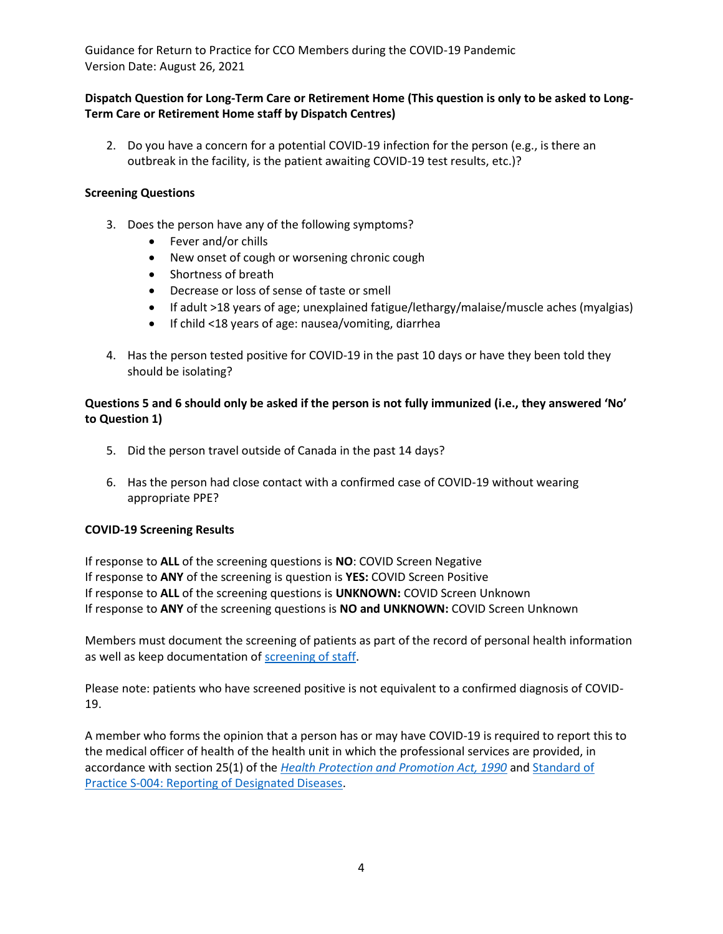#### **Dispatch Question for Long-Term Care or Retirement Home (This question is only to be asked to Long-Term Care or Retirement Home staff by Dispatch Centres)**

2. Do you have a concern for a potential COVID-19 infection for the person (e.g., is there an outbreak in the facility, is the patient awaiting COVID-19 test results, etc.)?

#### **Screening Questions**

- 3. Does the person have any of the following symptoms?
	- Fever and/or chills
	- New onset of cough or worsening chronic cough
	- Shortness of breath
	- Decrease or loss of sense of taste or smell
	- If adult >18 years of age; unexplained fatigue/lethargy/malaise/muscle aches (myalgias)
	- If child <18 years of age: nausea/vomiting, diarrhea
- 4. Has the person tested positive for COVID-19 in the past 10 days or have they been told they should be isolating?

#### **Questions 5 and 6 should only be asked if the person is not fully immunized (i.e., they answered 'No' to Question 1)**

- 5. Did the person travel outside of Canada in the past 14 days?
- 6. Has the person had close contact with a confirmed case of COVID-19 without wearing appropriate PPE?

#### **COVID-19 Screening Results**

If response to **ALL** of the screening questions is **NO**: COVID Screen Negative If response to **ANY** of the screening is question is **YES:** COVID Screen Positive If response to **ALL** of the screening questions is **UNKNOWN:** COVID Screen Unknown If response to **ANY** of the screening questions is **NO and UNKNOWN:** COVID Screen Unknown

Members must document the screening of patients as part of the record of personal health information as well as keep documentation of [screening of staff.](https://covid-19.ontario.ca/screening/worker/?_ga=2.109572229.1896072708.1629805393-601665223.1622472110)

Please note: patients who have screened positive is not equivalent to a confirmed diagnosis of COVID-19.

A member who forms the opinion that a person has or may have COVID-19 is required to report this to the medical officer of health of the health unit in which the professional services are provided, in accordance with section 25(1) of the *[Health Protection and Promotion Act, 1990](https://www.ontario.ca/laws/statute/90h07)* and [Standard of](https://www.cco.on.ca/members-of-cco/standard-of-practice/)  [Practice S-004: Reporting of Designated Diseases.](https://www.cco.on.ca/members-of-cco/standard-of-practice/)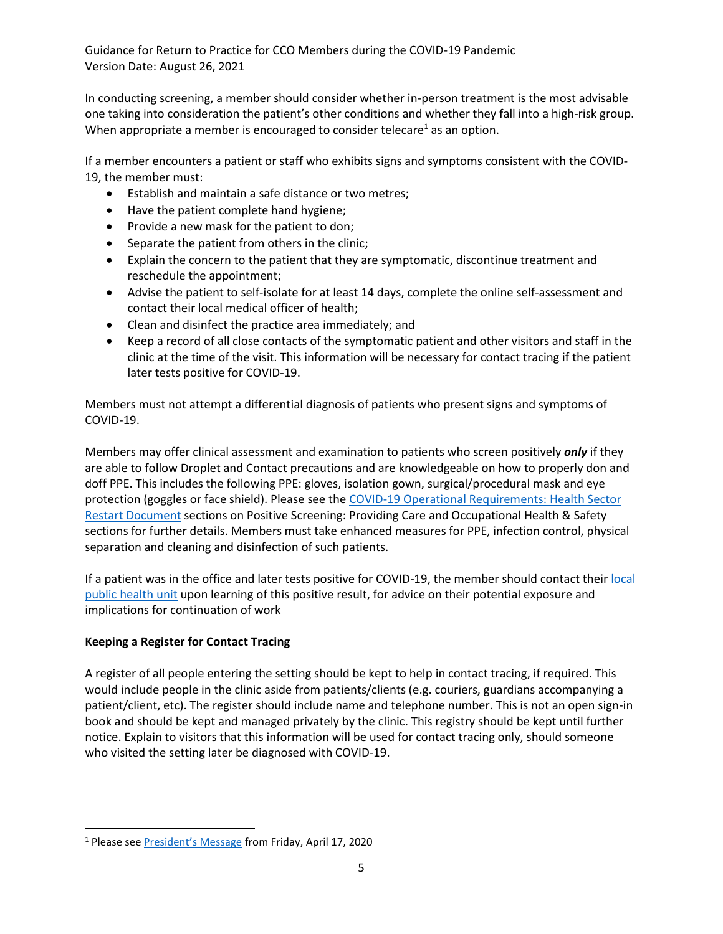In conducting screening, a member should consider whether in-person treatment is the most advisable one taking into consideration the patient's other conditions and whether they fall into a high-risk group. When appropriate a member is encouraged to consider telecare<sup>1</sup> as an option.

If a member encounters a patient or staff who exhibits signs and symptoms consistent with the COVID-19, the member must:

- Establish and maintain a safe distance or two metres;
- Have the patient complete hand hygiene;
- Provide a new mask for the patient to don;
- Separate the patient from others in the clinic;
- Explain the concern to the patient that they are symptomatic, discontinue treatment and reschedule the appointment;
- Advise the patient to self-isolate for at least 14 days, complete the online self-assessment and contact their local medical officer of health;
- Clean and disinfect the practice area immediately; and
- Keep a record of all close contacts of the symptomatic patient and other visitors and staff in the clinic at the time of the visit. This information will be necessary for contact tracing if the patient later tests positive for COVID-19.

Members must not attempt a differential diagnosis of patients who present signs and symptoms of COVID-19.

Members may offer clinical assessment and examination to patients who screen positively *only* if they are able to follow Droplet and Contact precautions and are knowledgeable on how to properly don and doff PPE. This includes the following PPE: gloves, isolation gown, surgical/procedural mask and eye protection (goggles or face shield). Please see th[e COVID-19 Operational Requirements: Health Sector](http://www.health.gov.on.ca/en/pro/programs/publichealth/coronavirus/docs/operational_requirements_health_sector.pdf)  [Restart Document](http://www.health.gov.on.ca/en/pro/programs/publichealth/coronavirus/docs/operational_requirements_health_sector.pdf) sections on Positive Screening: Providing Care and Occupational Health & Safety sections for further details. Members must take enhanced measures for PPE, infection control, physical separation and cleaning and disinfection of such patients.

If a patient was in the office and later tests positive for COVID-19, the member should contact their [local](http://www.health.gov.on.ca/en/common/system/services/phu/locations.aspx)  [public health unit](http://www.health.gov.on.ca/en/common/system/services/phu/locations.aspx) upon learning of this positive result, for advice on their potential exposure and implications for continuation of work

### **Keeping a Register for Contact Tracing**

A register of all people entering the setting should be kept to help in contact tracing, if required. This would include people in the clinic aside from patients/clients (e.g. couriers, guardians accompanying a patient/client, etc). The register should include name and telephone number. This is not an open sign-in book and should be kept and managed privately by the clinic. This registry should be kept until further notice. Explain to visitors that this information will be used for contact tracing only, should someone who visited the setting later be diagnosed with COVID-19.

<sup>&</sup>lt;sup>1</sup> Please see [President's Message](https://cco.on.ca/2021/08/26/presidents-message-covid-19-march-16-2020/) from Friday, April 17, 2020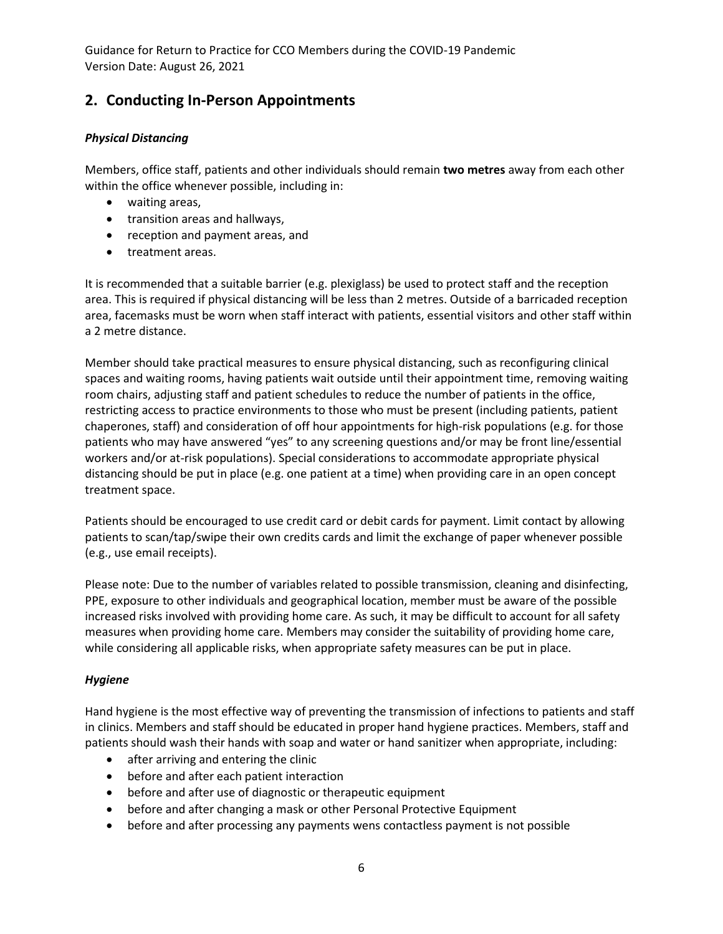# **2. Conducting In-Person Appointments**

#### *Physical Distancing*

Members, office staff, patients and other individuals should remain **two metres** away from each other within the office whenever possible, including in:

- waiting areas,
- transition areas and hallways,
- reception and payment areas, and
- treatment areas.

It is recommended that a suitable barrier (e.g. plexiglass) be used to protect staff and the reception area. This is required if physical distancing will be less than 2 metres. Outside of a barricaded reception area, facemasks must be worn when staff interact with patients, essential visitors and other staff within a 2 metre distance.

Member should take practical measures to ensure physical distancing, such as reconfiguring clinical spaces and waiting rooms, having patients wait outside until their appointment time, removing waiting room chairs, adjusting staff and patient schedules to reduce the number of patients in the office, restricting access to practice environments to those who must be present (including patients, patient chaperones, staff) and consideration of off hour appointments for high-risk populations (e.g. for those patients who may have answered "yes" to any screening questions and/or may be front line/essential workers and/or at-risk populations). Special considerations to accommodate appropriate physical distancing should be put in place (e.g. one patient at a time) when providing care in an open concept treatment space.

Patients should be encouraged to use credit card or debit cards for payment. Limit contact by allowing patients to scan/tap/swipe their own credits cards and limit the exchange of paper whenever possible (e.g., use email receipts).

Please note: Due to the number of variables related to possible transmission, cleaning and disinfecting, PPE, exposure to other individuals and geographical location, member must be aware of the possible increased risks involved with providing home care. As such, it may be difficult to account for all safety measures when providing home care. Members may consider the suitability of providing home care, while considering all applicable risks, when appropriate safety measures can be put in place.

#### *Hygiene*

Hand hygiene is the most effective way of preventing the transmission of infections to patients and staff in clinics. Members and staff should be educated in proper hand hygiene practices. Members, staff and patients should wash their hands with soap and water or hand sanitizer when appropriate, including:

- after arriving and entering the clinic
- before and after each patient interaction
- before and after use of diagnostic or therapeutic equipment
- before and after changing a mask or other Personal Protective Equipment
- before and after processing any payments wens contactless payment is not possible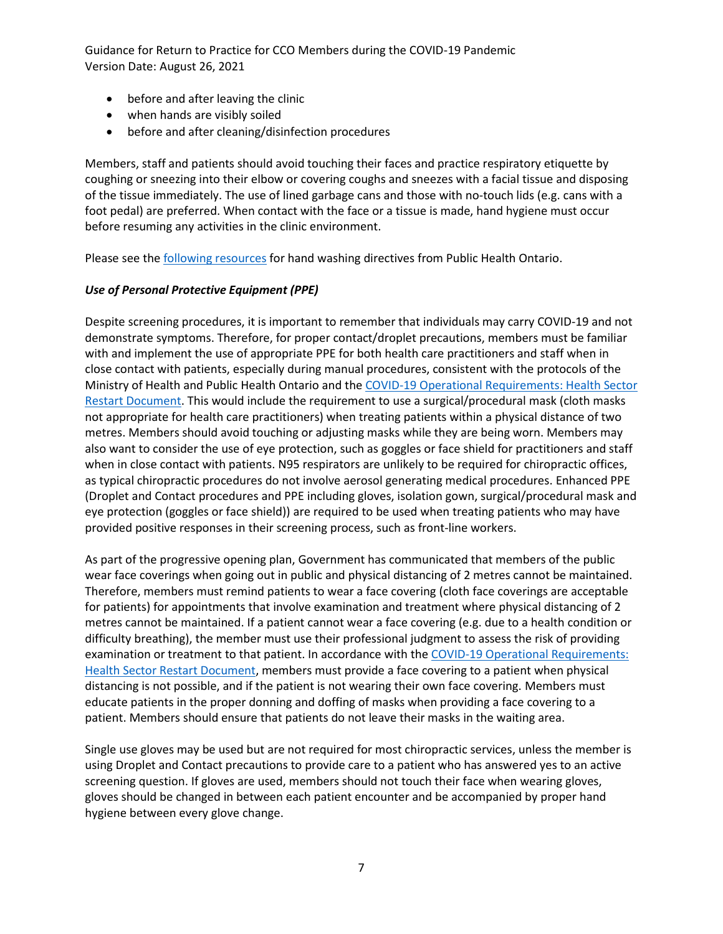- before and after leaving the clinic
- when hands are visibly soiled
- before and after cleaning/disinfection procedures

Members, staff and patients should avoid touching their faces and practice respiratory etiquette by coughing or sneezing into their elbow or covering coughs and sneezes with a facial tissue and disposing of the tissue immediately. The use of lined garbage cans and those with no-touch lids (e.g. cans with a foot pedal) are preferred. When contact with the face or a tissue is made, hand hygiene must occur before resuming any activities in the clinic environment.

Please see the [following resources](https://www.publichealthontario.ca/-/media/documents/ncov/factsheet/factsheet-covid-19-hand-hygiene.pdf?la=en) for hand washing directives from Public Health Ontario.

#### *Use of Personal Protective Equipment (PPE)*

Despite screening procedures, it is important to remember that individuals may carry COVID-19 and not demonstrate symptoms. Therefore, for proper contact/droplet precautions, members must be familiar with and implement the use of appropriate PPE for both health care practitioners and staff when in close contact with patients, especially during manual procedures, consistent with the protocols of the Ministry of Health and Public Health Ontario and th[e COVID-19 Operational Requirements: Health Sector](http://www.health.gov.on.ca/en/pro/programs/publichealth/coronavirus/docs/operational_requirements_health_sector.pdf)  [Restart Document.](http://www.health.gov.on.ca/en/pro/programs/publichealth/coronavirus/docs/operational_requirements_health_sector.pdf) This would include the requirement to use a surgical/procedural mask (cloth masks not appropriate for health care practitioners) when treating patients within a physical distance of two metres. Members should avoid touching or adjusting masks while they are being worn. Members may also want to consider the use of eye protection, such as goggles or face shield for practitioners and staff when in close contact with patients. N95 respirators are unlikely to be required for chiropractic offices, as typical chiropractic procedures do not involve aerosol generating medical procedures. Enhanced PPE (Droplet and Contact procedures and PPE including gloves, isolation gown, surgical/procedural mask and eye protection (goggles or face shield)) are required to be used when treating patients who may have provided positive responses in their screening process, such as front-line workers.

As part of the progressive opening plan, Government has communicated that members of the public wear face coverings when going out in public and physical distancing of 2 metres cannot be maintained. Therefore, members must remind patients to wear a face covering (cloth face coverings are acceptable for patients) for appointments that involve examination and treatment where physical distancing of 2 metres cannot be maintained. If a patient cannot wear a face covering (e.g. due to a health condition or difficulty breathing), the member must use their professional judgment to assess the risk of providing examination or treatment to that patient. In accordance with the [COVID-19 Operational Requirements:](http://www.health.gov.on.ca/en/pro/programs/publichealth/coronavirus/docs/operational_requirements_health_sector.pdf)  [Health Sector Restart Document,](http://www.health.gov.on.ca/en/pro/programs/publichealth/coronavirus/docs/operational_requirements_health_sector.pdf) members must provide a face covering to a patient when physical distancing is not possible, and if the patient is not wearing their own face covering. Members must educate patients in the proper donning and doffing of masks when providing a face covering to a patient. Members should ensure that patients do not leave their masks in the waiting area.

Single use gloves may be used but are not required for most chiropractic services, unless the member is using Droplet and Contact precautions to provide care to a patient who has answered yes to an active screening question. If gloves are used, members should not touch their face when wearing gloves, gloves should be changed in between each patient encounter and be accompanied by proper hand hygiene between every glove change.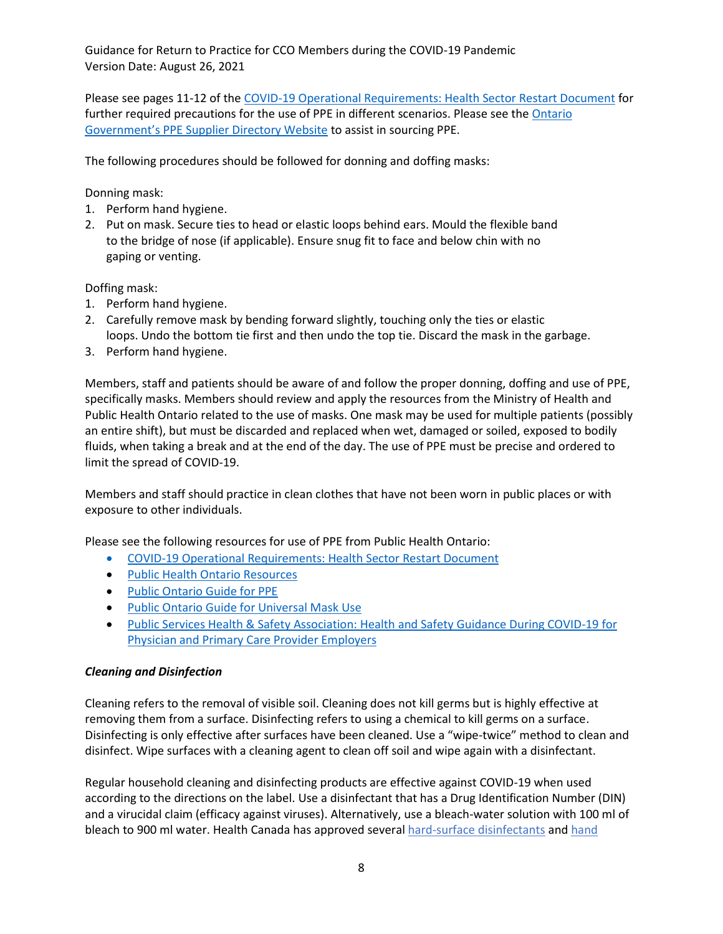Please see pages 11-12 of th[e COVID-19 Operational Requirements: Health Sector Restart Document](http://www.health.gov.on.ca/en/pro/programs/publichealth/coronavirus/docs/operational_requirements_health_sector.pdf) for further required precautions for the use of PPE in different scenarios. Please see the [Ontario](https://covid-19.ontario.ca/workplace-ppe-supplier-directory)  Government's PPE Su[pplier Directory Website](https://covid-19.ontario.ca/workplace-ppe-supplier-directory) to assist in sourcing PPE.

The following procedures should be followed for donning and doffing masks:

Donning mask:

- 1. Perform hand hygiene.
- 2. Put on mask. Secure ties to head or elastic loops behind ears. Mould the flexible band to the bridge of nose (if applicable). Ensure snug fit to face and below chin with no gaping or venting.

Doffing mask:

- 1. Perform hand hygiene.
- 2. Carefully remove mask by bending forward slightly, touching only the ties or elastic loops. Undo the bottom tie first and then undo the top tie. Discard the mask in the garbage.
- 3. Perform hand hygiene.

Members, staff and patients should be aware of and follow the proper donning, doffing and use of PPE, specifically masks. Members should review and apply the resources from the Ministry of Health and Public Health Ontario related to the use of masks. One mask may be used for multiple patients (possibly an entire shift), but must be discarded and replaced when wet, damaged or soiled, exposed to bodily fluids, when taking a break and at the end of the day. The use of PPE must be precise and ordered to limit the spread of COVID-19.

Members and staff should practice in clean clothes that have not been worn in public places or with exposure to other individuals.

Please see the following resources for use of PPE from Public Health Ontario:

- [COVID-19 Operational Requirements: Health Sector Restart Document](http://www.health.gov.on.ca/en/pro/programs/publichealth/coronavirus/docs/operational_requirements_health_sector.pdf)
- [Public Health Ontario Resources](https://www.publichealthontario.ca/en/diseases-and-conditions/infectious-diseases/respiratory-diseases/novel-coronavirus/health-care-resources)
- [Public Ontario Guide for PPE](https://www.publichealthontario.ca/-/media/documents/ncov/ipac/ppe-recommended-steps.pdf?la=en)
- [Public Ontario Guide for Universal Mask Use](https://www.publichealthontario.ca/-/media/documents/ncov/ipac/report-covid-19-universal-mask-use-health-care-settings.pdf?la=en)
- [Public Services Health & Safety Association: Health and Safety Guidance During COVID-19 for](https://www.pshsa.ca/resources/health-and-safety-guidance-during-covid-19-for-physician-and-primary-care-provider-employers)  [Physician and Primary Care Provider Employers](https://www.pshsa.ca/resources/health-and-safety-guidance-during-covid-19-for-physician-and-primary-care-provider-employers)

#### *Cleaning and Disinfection*

Cleaning refers to the removal of visible soil. Cleaning does not kill germs but is highly effective at removing them from a surface. Disinfecting refers to using a chemical to kill germs on a surface. Disinfecting is only effective after surfaces have been cleaned. Use a "wipe-twice" method to clean and disinfect. Wipe surfaces with a cleaning agent to clean off soil and wipe again with a disinfectant.

Regular household cleaning and disinfecting products are effective against COVID-19 when used according to the directions on the label. Use a disinfectant that has a Drug Identification Number (DIN) and a virucidal claim (efficacy against viruses). Alternatively, use a bleach-water solution with 100 ml of bleach to 900 ml water. Health Canada has approved severa[l hard-surface disinfectants](https://www.canada.ca/en/health-canada/services/drugs-health-products/disinfectants/covid-19/list.html) and hand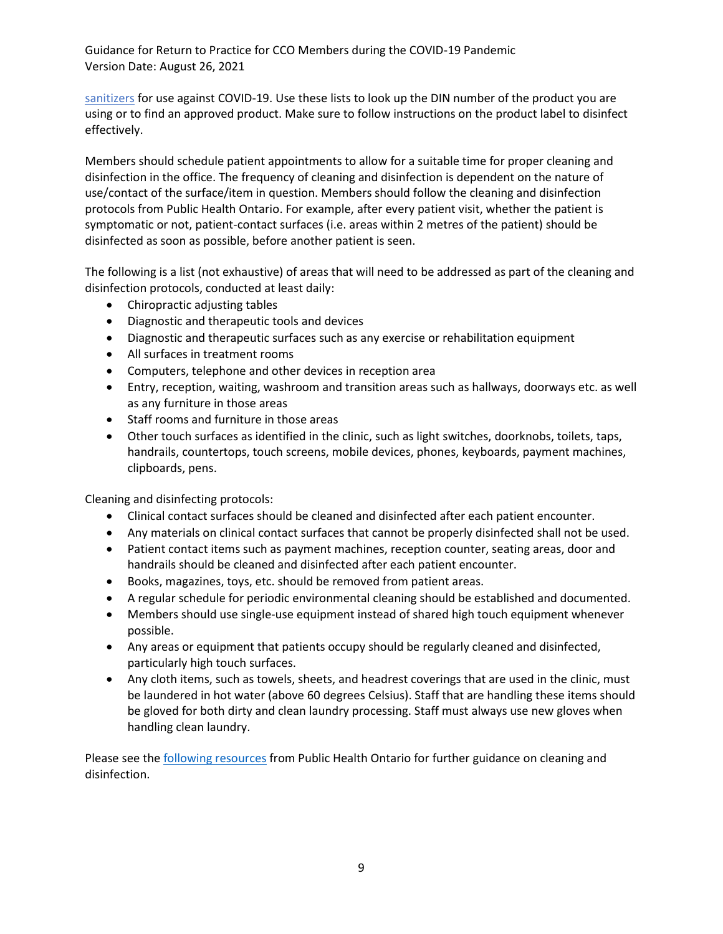[sanitizers](https://www.canada.ca/en/health-canada/services/drugs-health-products/disinfectants/covid-19/hand-sanitizer.html) for use against COVID-19. Use these lists to look up the DIN number of the product you are using or to find an approved product. Make sure to follow instructions on the product label to disinfect effectively.

Members should schedule patient appointments to allow for a suitable time for proper cleaning and disinfection in the office. The frequency of cleaning and disinfection is dependent on the nature of use/contact of the surface/item in question. Members should follow the cleaning [and disinfection](https://www.publichealthontario.ca/-/media/documents/ncov/factsheet-covid-19-environmental-cleaning.pdf?la=en)  [protocols from Public Health Ontario.](https://www.publichealthontario.ca/-/media/documents/ncov/factsheet-covid-19-environmental-cleaning.pdf?la=en) For example, after every patient visit, whether the patient is symptomatic or not, patient-contact surfaces (i.e. areas within 2 metres of the patient) should be disinfected as soon as possible, before another patient is seen.

The following is a list (not exhaustive) of areas that will need to be addressed as part of the cleaning and disinfection protocols, conducted at least daily:

- Chiropractic adjusting tables
- Diagnostic and therapeutic tools and devices
- Diagnostic and therapeutic surfaces such as any exercise or rehabilitation equipment
- All surfaces in treatment rooms
- Computers, telephone and other devices in reception area
- Entry, reception, waiting, washroom and transition areas such as hallways, doorways etc. as well as any furniture in those areas
- Staff rooms and furniture in those areas
- Other touch surfaces as identified in the clinic, such as light switches, doorknobs, toilets, taps, handrails, countertops, touch screens, mobile devices, phones, keyboards, payment machines, clipboards, pens.

Cleaning and disinfecting protocols:

- Clinical contact surfaces should be cleaned and disinfected after each patient encounter.
- Any materials on clinical contact surfaces that cannot be properly disinfected shall not be used.
- Patient contact items such as payment machines, reception counter, seating areas, door and handrails should be cleaned and disinfected after each patient encounter.
- Books, magazines, toys, etc. should be removed from patient areas.
- A regular schedule for periodic environmental cleaning should be established and documented.
- Members should use single-use equipment instead of shared high touch equipment whenever possible.
- Any areas or equipment that patients occupy should be regularly cleaned and disinfected, particularly high touch surfaces.
- Any cloth items, such as towels, sheets, and headrest coverings that are used in the clinic, must be laundered in hot water (above 60 degrees Celsius). Staff that are handling these items should be gloved for both dirty and clean laundry processing. Staff must always use new gloves when handling clean laundry.

Please see the [following resources](https://www.publichealthontario.ca/-/media/documents/ncov/factsheet-covid-19-environmental-cleaning.pdf?la=en) from Public Health Ontario for further guidance on cleaning and disinfection.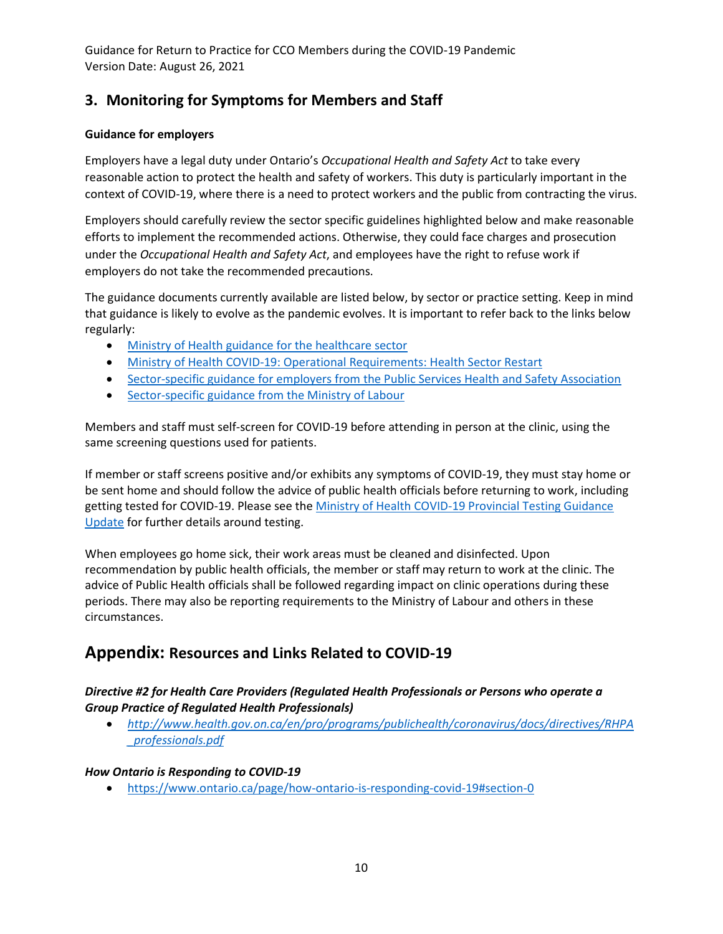# **3. Monitoring for Symptoms for Members and Staff**

## **Guidance for employers**

Employers have a legal duty under Ontario's *Occupational Health and Safety Act* to take every reasonable action to protect the health and safety of workers. This duty is particularly important in the context of COVID-19, where there is a need to protect workers and the public from contracting the virus.

Employers should carefully review the sector specific guidelines highlighted below and make reasonable efforts to implement the recommended actions. Otherwise, they could face charges and prosecution under the *Occupational Health and Safety Act*, and employees have the right to refuse work if employers do not take the recommended precautions.

The guidance documents currently available are listed below, by sector or practice setting. Keep in mind that guidance is likely to evolve as the pandemic evolves. It is important to refer back to the links below regularly:

- [Ministry of Health guidance for the healthcare sector](http://health.gov.on.ca/en/pro/programs/publichealth/coronavirus/2019_guidance.aspx)
- [Ministry of Health COVID-19: Operational Requirements: Health Sector Restart](http://www.health.gov.on.ca/en/pro/programs/publichealth/coronavirus/docs/operational_requirements_health_sector.pdf)
- [Sector-specific guidance for employers from the Public Services Health and Safety Association](https://www.pshsa.ca/resources/health-and-safety-guidance-during-covid-19-for-physician-and-primary-care-provider-employers)
- Sector-specific guidance [from the Ministry of Labour](https://www.ontario.ca/page/resources-prevent-covid-19-workplace?_ga=2.258073421.652386584.1589286222-295529957.1588594081)

Members and staff must self-screen for COVID-19 before attending in person at the clinic, using the same screening questions used for patients.

If member or staff screens positive and/or exhibits an[y symptoms of COVID-19,](http://www.health.gov.on.ca/en/pro/programs/publichealth/coronavirus/docs/2019_reference_doc_symptoms.pdf) they must stay home or be sent home and should follow the advice of public health officials before returning to work, including getting tested for COVID-19. Please see th[e Ministry of Health COVID-19 Provincial Testing Guidance](https://www.health.gov.on.ca/en/pro/programs/publichealth/coronavirus/docs/2019_testing_guidance.pdf)  [Update](https://www.health.gov.on.ca/en/pro/programs/publichealth/coronavirus/docs/2019_testing_guidance.pdf) for further details around testing.

When employees go home sick, their work areas must be cleaned and disinfected. Upon recommendation by public health officials, the member or staff may return to work at the clinic. The advice of Public Health officials shall be followed regarding impact on clinic operations during these periods. There may also be reporting requirements to the Ministry of Labour and others in these circumstances.

# **Appendix: Resources and Links Related to COVID-19**

## *Directive #2 for Health Care Providers (Regulated Health Professionals or Persons who operate a Group Practice of Regulated Health Professionals)*

• *[http://www.health.gov.on.ca/en/pro/programs/publichealth/coronavirus/docs/directives/RHPA](http://www.health.gov.on.ca/en/pro/programs/publichealth/coronavirus/docs/directives/RHPA_professionals.pdf) [\\_professionals.pdf](http://www.health.gov.on.ca/en/pro/programs/publichealth/coronavirus/docs/directives/RHPA_professionals.pdf)*

### *How Ontario is Responding to COVID-19*

• <https://www.ontario.ca/page/how-ontario-is-responding-covid-19#section-0>